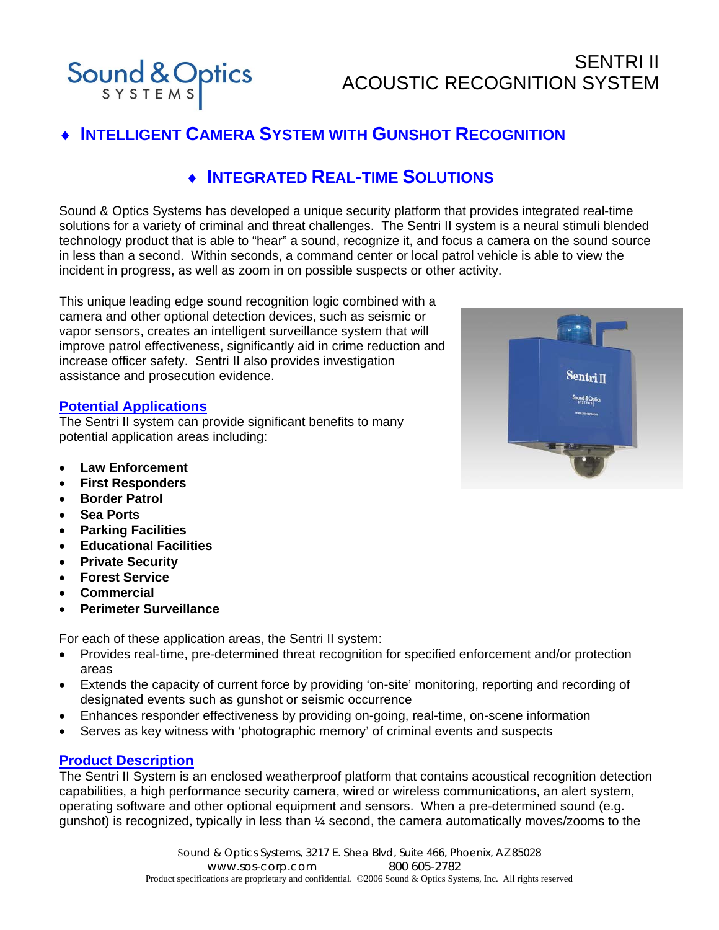SENTRI II ACOUSTIC RECOGNITION SYSTEM

# **INTELLIGENT CAMERA SYSTEM WITH GUNSHOT RECOGNITION**

### ♦ **INTEGRATED REAL-TIME SOLUTIONS**

Sound & Optics Systems has developed a unique security platform that provides integrated real-time solutions for a variety of criminal and threat challenges. The Sentri II system is a neural stimuli blended technology product that is able to "hear" a sound, recognize it, and focus a camera on the sound source in less than a second. Within seconds, a command center or local patrol vehicle is able to view the incident in progress, as well as zoom in on possible suspects or other activity.

This unique leading edge sound recognition logic combined with a camera and other optional detection devices, such as seismic or vapor sensors, creates an intelligent surveillance system that will improve patrol effectiveness, significantly aid in crime reduction and increase officer safety. Sentri II also provides investigation assistance and prosecution evidence.

#### **Potential Applications**

Sound & Optics

The Sentri II system can provide significant benefits to many potential application areas including:

- **Law Enforcement**
- **First Responders**
- **Border Patrol**
- **Sea Ports**
- **Parking Facilities**
- **Educational Facilities**
- **Private Security**
- **Forest Service**
- **Commercial**
- **Perimeter Surveillance**

For each of these application areas, the Sentri II system:

- Provides real-time, pre-determined threat recognition for specified enforcement and/or protection areas
- Extends the capacity of current force by providing 'on-site' monitoring, reporting and recording of designated events such as gunshot or seismic occurrence
- Enhances responder effectiveness by providing on-going, real-time, on-scene information
- Serves as key witness with 'photographic memory' of criminal events and suspects

#### **Product Description**

The Sentri II System is an enclosed weatherproof platform that contains acoustical recognition detection capabilities, a high performance security camera, wired or wireless communications, an alert system, operating software and other optional equipment and sensors. When a pre-determined sound (e.g. gunshot) is recognized, typically in less than ¼ second, the camera automatically moves/zooms to the